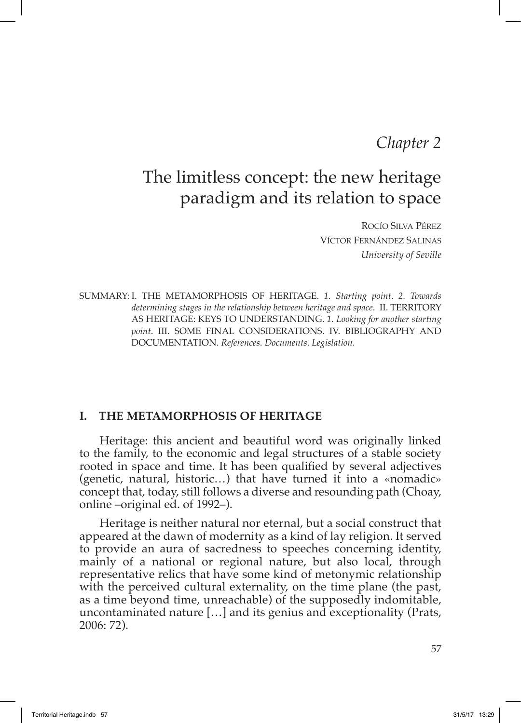## *Chapter 2*

# The limitless concept: the new heritage paradigm and its relation to space

Rocío Silva Pérez Víctor Fernández Salinas *University of Seville*

SSUMMARY: I. THE METAMORPHOSIS OF HERITAGE. *1. Starting point*. *2. Towards determining stages in the relationship between heritage and space*. II. TERRITORY AS HERITAGE: KEYS TO UNDERSTANDING. *1. Looking for another starting point*. III. SOME FINAL CONSIDERATIONS. IV. BIBLIOGRAPHY AND DOCUMENTATION. *References*. *Documents*. *Legislation.*

#### **I. THE METAMORPHOSIS OF HERITAGE**

Heritage: this ancient and beautiful word was originally linked to the family, to the economic and legal structures of a stable society rooted in space and time. It has been qualified by several adjectives (genetic, natural, historic…) that have turned it into a «nomadic» concept that, today, still follows a diverse and resounding path (Choay, online –original ed. of 1992–).

Heritage is neither natural nor eternal, but a social construct that appeared at the dawn of modernity as a kind of lay religion. It served to provide an aura of sacredness to speeches concerning identity, mainly of a national or regional nature, but also local, through representative relics that have some kind of metonymic relationship with the perceived cultural externality, on the time plane (the past, as a time beyond time, unreachable) of the supposedly indomitable, uncontaminated nature […] and its genius and exceptionality (Prats, 2006: 72).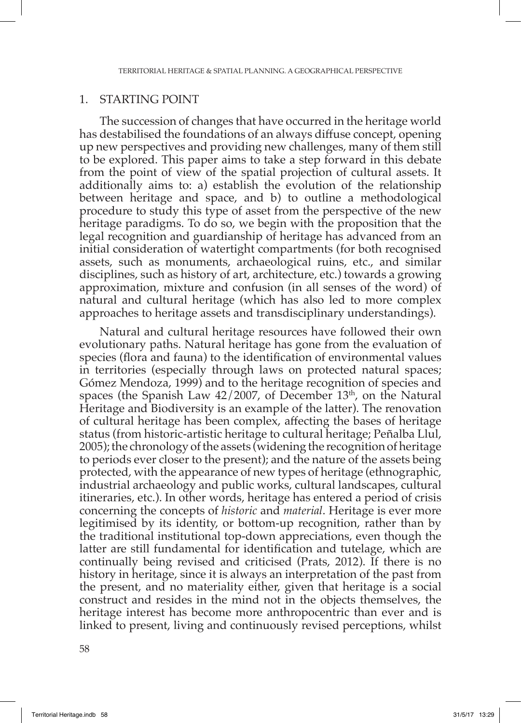#### 1. STARTING POINT

The succession of changes that have occurred in the heritage world has destabilised the foundations of an always diffuse concept, opening up new perspectives and providing new challenges, many of them still to be explored. This paper aims to take a step forward in this debate from the point of view of the spatial projection of cultural assets. It additionally aims to: a) establish the evolution of the relationship between heritage and space, and b) to outline a methodological procedure to study this type of asset from the perspective of the new heritage paradigms. To do so, we begin with the proposition that the legal recognition and guardianship of heritage has advanced from an initial consideration of watertight compartments (for both recognised assets, such as monuments, archaeological ruins, etc., and similar disciplines, such as history of art, architecture, etc.) towards a growing approximation, mixture and confusion (in all senses of the word) of natural and cultural heritage (which has also led to more complex approaches to heritage assets and transdisciplinary understandings).

Natural and cultural heritage resources have followed their own evolutionary paths. Natural heritage has gone from the evaluation of species (flora and fauna) to the identification of environmental values in territories (especially through laws on protected natural spaces; Gómez Mendoza, 1999) and to the heritage recognition of species and spaces (the Spanish Law  $42/2007$ , of December  $13<sup>th</sup>$ , on the Natural Heritage and Biodiversity is an example of the latter). The renovation of cultural heritage has been complex, affecting the bases of heritage status (from historic-artistic heritage to cultural heritage; Peñalba Llul, 2005); the chronology of the assets (widening the recognition of heritage to periods ever closer to the present); and the nature of the assets being protected, with the appearance of new types of heritage (ethnographic, industrial archaeology and public works, cultural landscapes, cultural itineraries, etc.). In other words, heritage has entered a period of crisis concerning the concepts of *historic* and *material*. Heritage is ever more legitimised by its identity, or bottom-up recognition, rather than by the traditional institutional top-down appreciations, even though the latter are still fundamental for identification and tutelage, which are continually being revised and criticised (Prats, 2012). If there is no history in heritage, since it is always an interpretation of the past from the present, and no materiality either, given that heritage is a social construct and resides in the mind not in the objects themselves, the heritage interest has become more anthropocentric than ever and is linked to present, living and continuously revised perceptions, whilst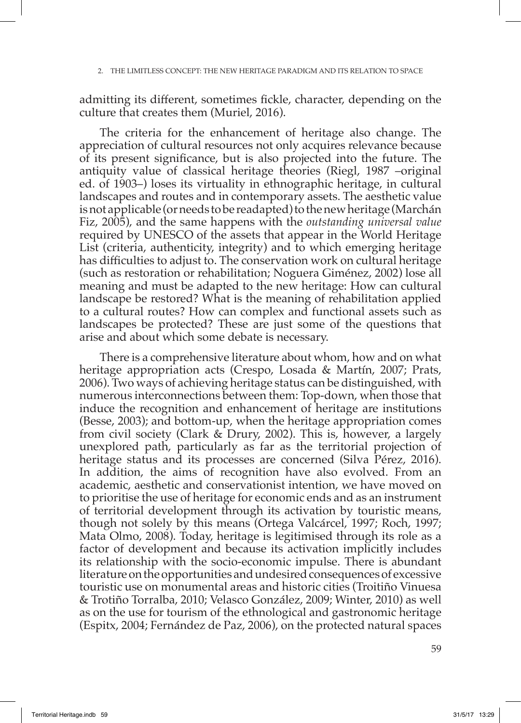admitting its different, sometimes fickle, character, depending on the culture that creates them (Muriel, 2016).

The criteria for the enhancement of heritage also change. The appreciation of cultural resources not only acquires relevance because of its present significance, but is also projected into the future. The antiquity value of classical heritage theories (Riegl, 1987 –original ed. of 1903–) loses its virtuality in ethnographic heritage, in cultural landscapes and routes and in contemporary assets. The aesthetic value is not applicable (or needs to be readapted) to the new heritage (Marchán Fiz, 2005), and the same happens with the *outstanding universal value*  required by UNESCO of the assets that appear in the World Heritage List (criteria, authenticity, integrity) and to which emerging heritage has difficulties to adjust to. The conservation work on cultural heritage (such as restoration or rehabilitation; Noguera Giménez, 2002) lose all meaning and must be adapted to the new heritage: How can cultural landscape be restored? What is the meaning of rehabilitation applied to a cultural routes? How can complex and functional assets such as landscapes be protected? These are just some of the questions that arise and about which some debate is necessary.

There is a comprehensive literature about whom, how and on what heritage appropriation acts (Crespo, Losada & Martín, 2007; Prats, 2006). Two ways of achieving heritage status can be distinguished, with numerous interconnections between them: Top-down, when those that induce the recognition and enhancement of heritage are institutions (Besse, 2003); and bottom-up, when the heritage appropriation comes from civil society (Clark & Drury, 2002). This is, however, a largely unexplored path, particularly as far as the territorial projection of heritage status and its processes are concerned (Silva Pérez, 2016). In addition, the aims of recognition have also evolved. From an academic, aesthetic and conservationist intention, we have moved on to prioritise the use of heritage for economic ends and as an instrument of territorial development through its activation by touristic means, though not solely by this means (Ortega Valcárcel, 1997; Roch, 1997; Mata Olmo, 2008). Today, heritage is legitimised through its role as a factor of development and because its activation implicitly includes its relationship with the socio-economic impulse. There is abundant literature on the opportunities and undesired consequences of excessive touristic use on monumental areas and historic cities (Troitiño Vinuesa & Trotiño Torralba, 2010; Velasco González, 2009; Winter, 2010) as well as on the use for tourism of the ethnological and gastronomic heritage (Espitx, 2004; Fernández de Paz, 2006), on the protected natural spaces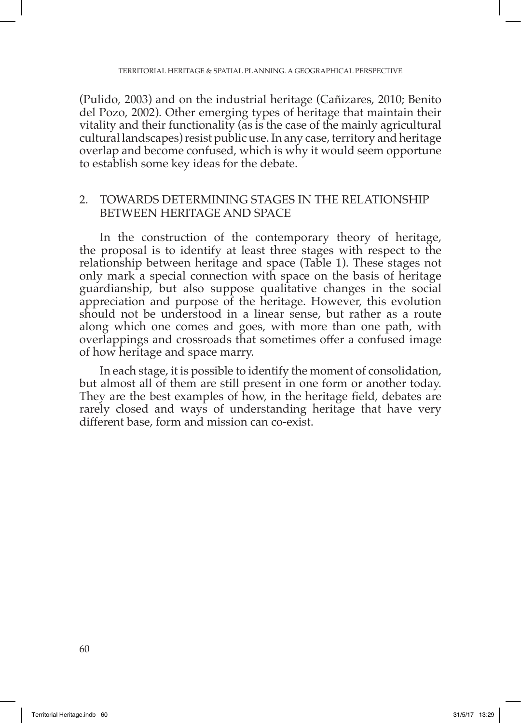(Pulido, 2003) and on the industrial heritage (Cañizares, 2010; Benito del Pozo, 2002). Other emerging types of heritage that maintain their vitality and their functionality (as is the case of the mainly agricultural cultural landscapes) resist public use. In any case, territory and heritage overlap and become confused, which is why it would seem opportune to establish some key ideas for the debate.

#### 2. TOWARDS DETERMINING STAGES IN THE RELATIONSHIP BETWEEN HERITAGE AND SPACE

In the construction of the contemporary theory of heritage, the proposal is to identify at least three stages with respect to the relationship between heritage and space (Table 1). These stages not only mark a special connection with space on the basis of heritage guardianship, but also suppose qualitative changes in the social appreciation and purpose of the heritage. However, this evolution should not be understood in a linear sense, but rather as a route along which one comes and goes, with more than one path, with overlappings and crossroads that sometimes offer a confused image of how heritage and space marry.

In each stage, it is possible to identify the moment of consolidation, but almost all of them are still present in one form or another today. They are the best examples of how, in the heritage field, debates are rarely closed and ways of understanding heritage that have very different base, form and mission can co-exist.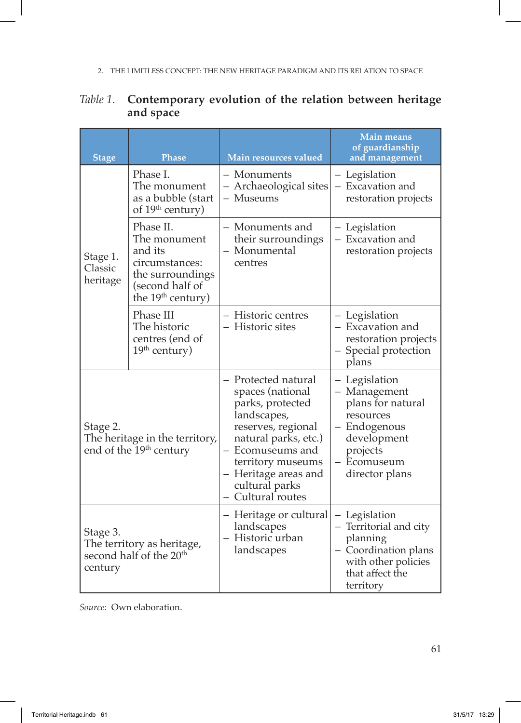| <b>Stage</b>                                                                             | <b>Phase</b>                                                                                                                   | Main resources valued                                                                                                                                                                                                            | <b>Main means</b><br>of guardianship<br>and management                                                                                      |
|------------------------------------------------------------------------------------------|--------------------------------------------------------------------------------------------------------------------------------|----------------------------------------------------------------------------------------------------------------------------------------------------------------------------------------------------------------------------------|---------------------------------------------------------------------------------------------------------------------------------------------|
| Stage 1.<br>Classic<br>heritage                                                          | Phase I.<br>The monument<br>as a bubble (start<br>of 19 <sup>th</sup> century)                                                 | – Monuments<br>- Archaeological sites<br>- Museums                                                                                                                                                                               | - Legislation<br>- Excavation and<br>restoration projects                                                                                   |
|                                                                                          | Phase II.<br>The monument<br>and its<br>circumstances:<br>the surroundings<br>(second half of<br>the 19 <sup>th</sup> century) | - Monuments and<br>their surroundings<br>- Monumental<br>centres                                                                                                                                                                 | - Legislation<br>- Excavation and<br>restoration projects                                                                                   |
|                                                                                          | Phase III<br>The historic<br>centres (end of<br>$19th$ century)                                                                | - Historic centres<br>- Historic sites                                                                                                                                                                                           | - Legislation<br>- Excavation and<br>restoration projects<br>- Special protection<br>plans                                                  |
| Stage 2.<br>The heritage in the territory,<br>end of the 19 <sup>th</sup> century        |                                                                                                                                | - Protected natural<br>spaces (national<br>parks, protected<br>landscapes,<br>reserves, regional<br>natural parks, etc.)<br>- Ecomuseums and<br>territory museums<br>- Heritage areas and<br>cultural parks<br>- Cultural routes | - Legislation<br>- Management<br>plans for natural<br>resources<br>- Endogenous<br>development<br>projects<br>- Ecomuseum<br>director plans |
| Stage 3.<br>The territory as heritage,<br>second half of the 20 <sup>th</sup><br>century |                                                                                                                                | - Heritage or cultural<br>landscapes<br>- Historic urban<br>landscapes                                                                                                                                                           | - Legislation<br>- Territorial and city<br>planning<br>- Coordination plans<br>with other policies<br>that affect the<br>territory          |

## *Table 1.* **Contemporary evolution of the relation between heritage and space**

*Source:* Own elaboration.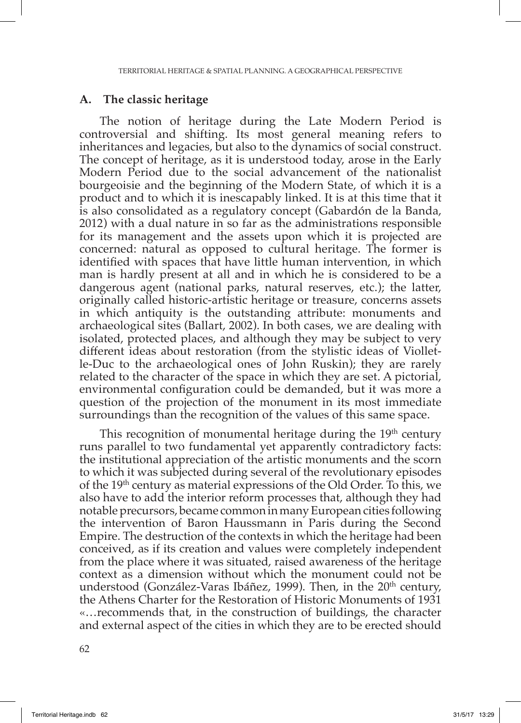#### **A. The classic heritage**

The notion of heritage during the Late Modern Period is controversial and shifting. Its most general meaning refers to inheritances and legacies, but also to the dynamics of social construct. The concept of heritage, as it is understood today, arose in the Early Modern Period due to the social advancement of the nationalist bourgeoisie and the beginning of the Modern State, of which it is a product and to which it is inescapably linked. It is at this time that it is also consolidated as a regulatory concept (Gabardón de la Banda, 2012) with a dual nature in so far as the administrations responsible for its management and the assets upon which it is projected are concerned: natural as opposed to cultural heritage. The former is identified with spaces that have little human intervention, in which man is hardly present at all and in which he is considered to be a dangerous agent (national parks, natural reserves, etc.); the latter, originally called historic-artistic heritage or treasure, concerns assets in which antiquity is the outstanding attribute: monuments and archaeological sites (Ballart, 2002). In both cases, we are dealing with isolated, protected places, and although they may be subject to very different ideas about restoration (from the stylistic ideas of Violletle-Duc to the archaeological ones of John Ruskin); they are rarely related to the character of the space in which they are set. A pictorial, environmental configuration could be demanded, but it was more a question of the projection of the monument in its most immediate surroundings than the recognition of the values of this same space.

This recognition of monumental heritage during the  $19<sup>th</sup>$  century runs parallel to two fundamental yet apparently contradictory facts: the institutional appreciation of the artistic monuments and the scorn to which it was subjected during several of the revolutionary episodes of the 19th century as material expressions of the Old Order. To this, we also have to add the interior reform processes that, although they had notable precursors, became common in many European cities following the intervention of Baron Haussmann in Paris during the Second Empire. The destruction of the contexts in which the heritage had been conceived, as if its creation and values were completely independent from the place where it was situated, raised awareness of the heritage context as a dimension without which the monument could not be understood (González-Varas Ibáñez, 1999). Then, in the  $20<sup>th</sup>$  century, the Athens Charter for the Restoration of Historic Monuments of 1931 «…recommends that, in the construction of buildings, the character and external aspect of the cities in which they are to be erected should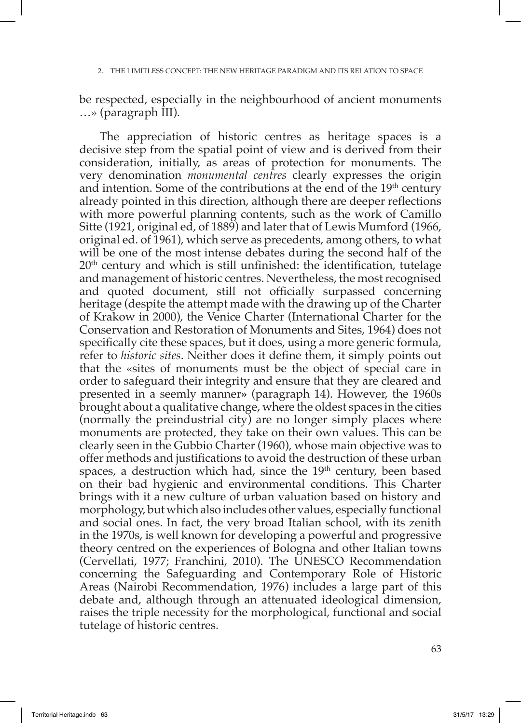be respected, especially in the neighbourhood of ancient monuments …» (paragraph III).

The appreciation of historic centres as heritage spaces is a decisive step from the spatial point of view and is derived from their consideration, initially, as areas of protection for monuments. The very denomination *monumental centres* clearly expresses the origin and intention. Some of the contributions at the end of the  $19<sup>th</sup>$  century already pointed in this direction, although there are deeper reflections with more powerful planning contents, such as the work of Camillo Sitte (1921, original ed, of 1889) and later that of Lewis Mumford (1966, original ed. of 1961), which serve as precedents, among others, to what will be one of the most intense debates during the second half of the  $20<sup>th</sup>$  century and which is still unfinished: the identification, tutelage and management of historic centres. Nevertheless, the most recognised and quoted document, still not officially surpassed concerning heritage (despite the attempt made with the drawing up of the Charter of Krakow in 2000), the Venice Charter (International Charter for the Conservation and Restoration of Monuments and Sites, 1964) does not specifically cite these spaces, but it does, using a more generic formula, refer to *historic sites*. Neither does it define them, it simply points out that the «sites of monuments must be the object of special care in order to safeguard their integrity and ensure that they are cleared and presented in a seemly manner**»** (paragraph 14). However, the 1960s brought about a qualitative change, where the oldest spaces in the cities (normally the preindustrial city) are no longer simply places where monuments are protected, they take on their own values. This can be clearly seen in the Gubbio Charter (1960), whose main objective was to offer methods and justifications to avoid the destruction of these urban spaces, a destruction which had, since the  $19<sup>th</sup>$  century, been based on their bad hygienic and environmental conditions. This Charter brings with it a new culture of urban valuation based on history and morphology, but which also includes other values, especially functional and social ones. In fact, the very broad Italian school, with its zenith in the 1970s, is well known for developing a powerful and progressive theory centred on the experiences of Bologna and other Italian towns (Cervellati, 1977; Franchini, 2010). The UNESCO Recommendation concerning the Safeguarding and Contemporary Role of Historic Areas (Nairobi Recommendation, 1976) includes a large part of this debate and, although through an attenuated ideological dimension, raises the triple necessity for the morphological, functional and social tutelage of historic centres.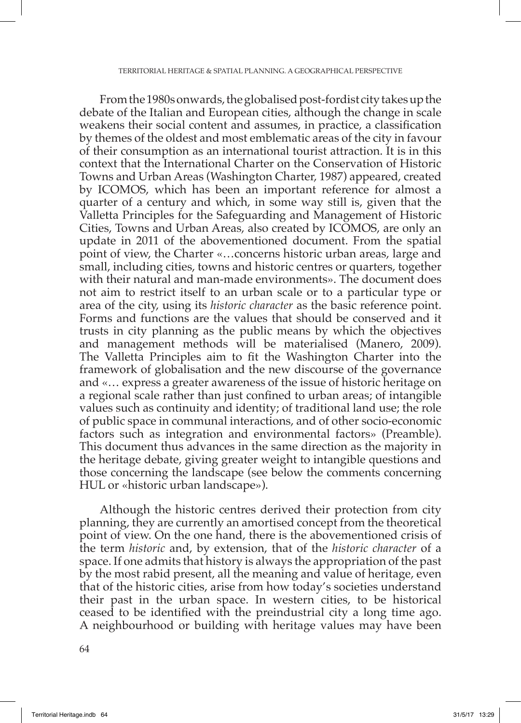From the 1980s onwards, the globalised post-fordist city takes up the debate of the Italian and European cities, although the change in scale weakens their social content and assumes, in practice, a classification by themes of the oldest and most emblematic areas of the city in favour of their consumption as an international tourist attraction. It is in this context that the International Charter on the Conservation of Historic Towns and Urban Areas (Washington Charter, 1987) appeared, created by ICOMOS, which has been an important reference for almost a quarter of a century and which, in some way still is, given that the Valletta Principles for the Safeguarding and Management of Historic Cities, Towns and Urban Areas, also created by ICOMOS, are only an update in 2011 of the abovementioned document. From the spatial point of view, the Charter «…concerns historic urban areas, large and small, including cities, towns and historic centres or quarters, together with their natural and man-made environments». The document does not aim to restrict itself to an urban scale or to a particular type or area of the city, using its *historic character* as the basic reference point. Forms and functions are the values that should be conserved and it trusts in city planning as the public means by which the objectives and management methods will be materialised (Manero, 2009). The Valletta Principles aim to fit the Washington Charter into the framework of globalisation and the new discourse of the governance and «… express a greater awareness of the issue of historic heritage on a regional scale rather than just confined to urban areas; of intangible values such as continuity and identity; of traditional land use; the role of public space in communal interactions, and of other socio-economic factors such as integration and environmental factors» (Preamble). This document thus advances in the same direction as the majority in the heritage debate, giving greater weight to intangible questions and those concerning the landscape (see below the comments concerning HUL or «historic urban landscape»).

Although the historic centres derived their protection from city planning, they are currently an amortised concept from the theoretical point of view. On the one hand, there is the abovementioned crisis of the term *historic* and, by extension, that of the *historic character* of a space. If one admits that history is always the appropriation of the past by the most rabid present, all the meaning and value of heritage, even that of the historic cities, arise from how today's societies understand their past in the urban space. In western cities, to be historical ceased to be identified with the preindustrial city a long time ago. A neighbourhood or building with heritage values may have been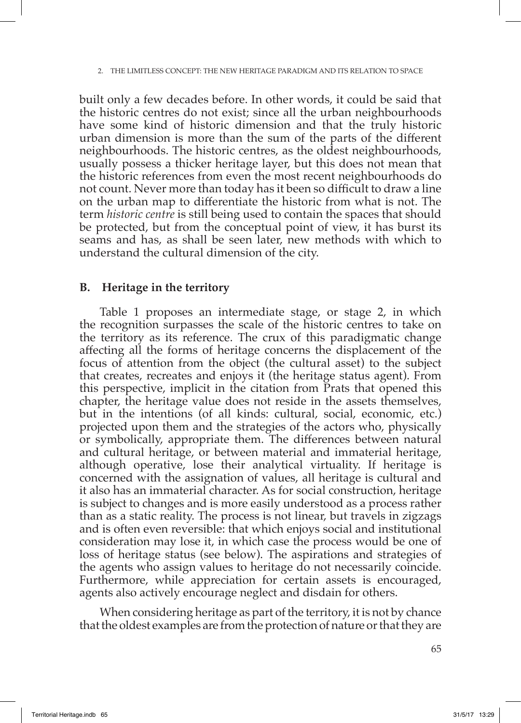built only a few decades before. In other words, it could be said that the historic centres do not exist; since all the urban neighbourhoods have some kind of historic dimension and that the truly historic urban dimension is more than the sum of the parts of the different neighbourhoods. The historic centres, as the oldest neighbourhoods, usually possess a thicker heritage layer, but this does not mean that the historic references from even the most recent neighbourhoods do not count. Never more than today has it been so difficult to draw a line on the urban map to differentiate the historic from what is not. The term *historic centre* is still being used to contain the spaces that should be protected, but from the conceptual point of view, it has burst its seams and has, as shall be seen later, new methods with which to understand the cultural dimension of the city.

#### **B. Heritage in the territory**

Table 1 proposes an intermediate stage, or stage 2, in which the recognition surpasses the scale of the historic centres to take on the territory as its reference. The crux of this paradigmatic change affecting all the forms of heritage concerns the displacement of the focus of attention from the object (the cultural asset) to the subject that creates, recreates and enjoys it (the heritage status agent). From this perspective, implicit in the citation from Prats that opened this chapter, the heritage value does not reside in the assets themselves, but in the intentions (of all kinds: cultural, social, economic, etc.) projected upon them and the strategies of the actors who, physically or symbolically, appropriate them. The differences between natural and cultural heritage, or between material and immaterial heritage, although operative, lose their analytical virtuality. If heritage is concerned with the assignation of values, all heritage is cultural and it also has an immaterial character. As for social construction, heritage is subject to changes and is more easily understood as a process rather than as a static reality. The process is not linear, but travels in zigzags and is often even reversible: that which enjoys social and institutional consideration may lose it, in which case the process would be one of loss of heritage status (see below). The aspirations and strategies of the agents who assign values to heritage do not necessarily coincide. Furthermore, while appreciation for certain assets is encouraged, agents also actively encourage neglect and disdain for others.

When considering heritage as part of the territory, it is not by chance that the oldest examples are from the protection of nature or that they are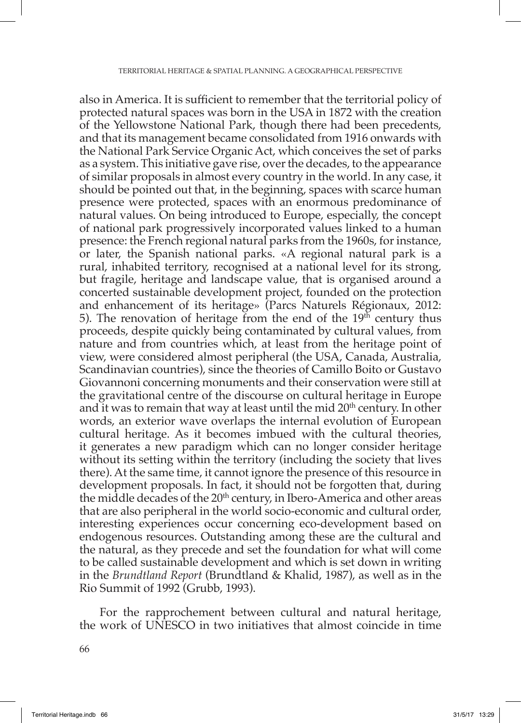also in America. It is sufficient to remember that the territorial policy of protected natural spaces was born in the USA in 1872 with the creation of the Yellowstone National Park, though there had been precedents, and that its management became consolidated from 1916 onwards with the National Park Service Organic Act, which conceives the set of parks as a system. This initiative gave rise, over the decades, to the appearance of similar proposals in almost every country in the world. In any case, it should be pointed out that, in the beginning, spaces with scarce human presence were protected, spaces with an enormous predominance of natural values. On being introduced to Europe, especially, the concept of national park progressively incorporated values linked to a human presence: the French regional natural parks from the 1960s, for instance, or later, the Spanish national parks. «A regional natural park is a rural, inhabited territory, recognised at a national level for its strong, but fragile, heritage and landscape value, that is organised around a concerted sustainable development project, founded on the protection and enhancement of its heritage» (Parcs Naturels Régionaux, 2012: 5). The renovation of heritage from the end of the  $19<sup>th</sup>$  century thus proceeds, despite quickly being contaminated by cultural values, from nature and from countries which, at least from the heritage point of view, were considered almost peripheral (the USA, Canada, Australia, Scandinavian countries), since the theories of Camillo Boito or Gustavo Giovannoni concerning monuments and their conservation were still at the gravitational centre of the discourse on cultural heritage in Europe and it was to remain that way at least until the mid  $20<sup>th</sup>$  century. In other words, an exterior wave overlaps the internal evolution of European cultural heritage. As it becomes imbued with the cultural theories, it generates a new paradigm which can no longer consider heritage without its setting within the territory (including the society that lives there). At the same time, it cannot ignore the presence of this resource in development proposals. In fact, it should not be forgotten that, during the middle decades of the 20<sup>th</sup> century, in Ibero-America and other areas that are also peripheral in the world socio-economic and cultural order, interesting experiences occur concerning eco-development based on endogenous resources. Outstanding among these are the cultural and the natural, as they precede and set the foundation for what will come to be called sustainable development and which is set down in writing in the *Brundtland Report* (Brundtland & Khalid, 1987), as well as in the Rio Summit of 1992 (Grubb, 1993).

For the rapprochement between cultural and natural heritage, the work of UNESCO in two initiatives that almost coincide in time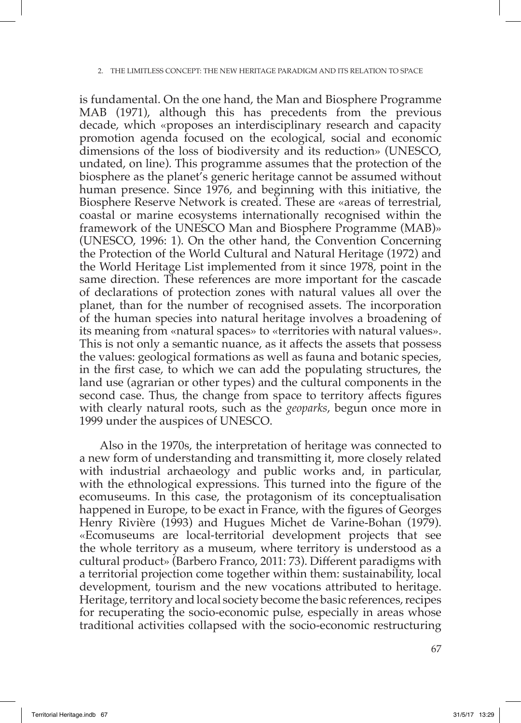is fundamental. On the one hand, the Man and Biosphere Programme MAB (1971), although this has precedents from the previous decade, which «proposes an interdisciplinary research and capacity promotion agenda focused on the ecological, social and economic dimensions of the loss of biodiversity and its reduction» (UNESCO, undated, on line). This programme assumes that the protection of the biosphere as the planet's generic heritage cannot be assumed without human presence. Since 1976, and beginning with this initiative, the Biosphere Reserve Network is created. These are «areas of terrestrial, coastal or marine ecosystems internationally recognised within the framework of the UNESCO Man and Biosphere Programme (MAB)» (UNESCO, 1996: 1). On the other hand, the Convention Concerning the Protection of the World Cultural and Natural Heritage (1972) and the World Heritage List implemented from it since 1978, point in the same direction. These references are more important for the cascade of declarations of protection zones with natural values all over the planet, than for the number of recognised assets. The incorporation of the human species into natural heritage involves a broadening of its meaning from «natural spaces» to «territories with natural values». This is not only a semantic nuance, as it affects the assets that possess the values: geological formations as well as fauna and botanic species, in the first case, to which we can add the populating structures, the land use (agrarian or other types) and the cultural components in the second case. Thus, the change from space to territory affects figures with clearly natural roots, such as the *geoparks*, begun once more in 1999 under the auspices of UNESCO.

Also in the 1970s, the interpretation of heritage was connected to a new form of understanding and transmitting it, more closely related with industrial archaeology and public works and, in particular, with the ethnological expressions. This turned into the figure of the ecomuseums. In this case, the protagonism of its conceptualisation happened in Europe, to be exact in France, with the figures of Georges Henry Rivière (1993) and Hugues Michet de Varine-Bohan (1979). «Ecomuseums are local-territorial development projects that see the whole territory as a museum, where territory is understood as a cultural product» (Barbero Franco, 2011: 73). Different paradigms with a territorial projection come together within them: sustainability, local development, tourism and the new vocations attributed to heritage. Heritage, territory and local society become the basic references, recipes for recuperating the socio-economic pulse, especially in areas whose traditional activities collapsed with the socio-economic restructuring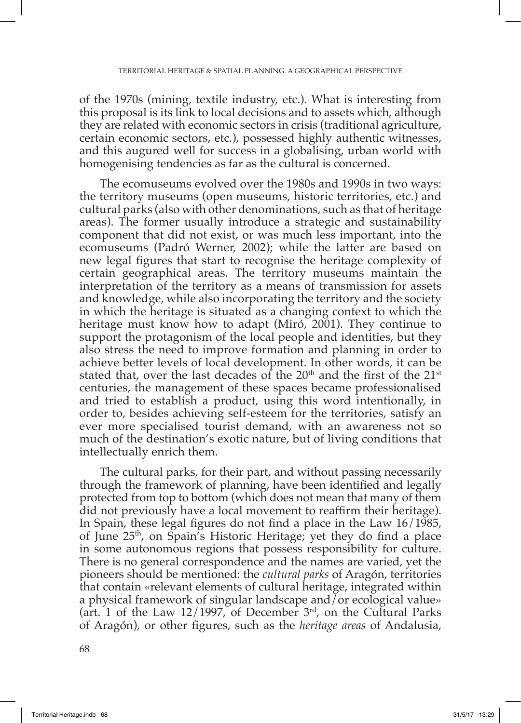of the 1970s (mining, textile industry, etc.). What is interesting from this proposal is its link to local decisions and to assets which, although they are related with economic sectors in crisis (traditional agriculture, certain economic sectors, etc.), possessed highly authentic witnesses, and this augured well for success in a globalising, urban world with homogenising tendencies as far as the cultural is concerned.

The ecomuseums evolved over the 1980s and 1990s in two ways: the territory museums (open museums, historic territories, etc.) and cultural parks (also with other denominations, such as that of heritage areas). The former usually introduce a strategic and sustainability component that did not exist, or was much less important, into the ecomuseums (Padró Werner, 2002); while the latter are based on new legal figures that start to recognise the heritage complexity of certain geographical areas. The territory museums maintain the interpretation of the territory as a means of transmission for assets and knowledge, while also incorporating the territory and the society in which the heritage is situated as a changing context to which the heritage must know how to adapt (Miró, 2001). They continue to support the protagonism of the local people and identities, but they also stress the need to improve formation and planning in order to achieve better levels of local development. In other words, it can be stated that, over the last decades of the  $20<sup>th</sup>$  and the first of the  $21<sup>st</sup>$ centuries, the management of these spaces became professionalised and tried to establish a product, using this word intentionally, in order to, besides achieving self-esteem for the territories, satisfy an ever more specialised tourist demand, with an awareness not so much of the destination's exotic nature, but of living conditions that intellectually enrich them.

The cultural parks, for their part, and without passing necessarily through the framework of planning, have been identified and legally protected from top to bottom (which does not mean that many of them did not previously have a local movement to reaffirm their heritage). In Spain, these legal figures do not find a place in the Law 16/1985, of June 25th, on Spain's Historic Heritage; yet they do find a place in some autonomous regions that possess responsibility for culture. There is no general correspondence and the names are varied, yet the pioneers should be mentioned: the *cultural parks* of Aragón, territories that contain «relevant elements of cultural heritage, integrated within a physical framework of singular landscape and  $\delta$  or ecological value» (art. 1 of the Law  $12/1997$ , of December  $3<sup>rd</sup>$ , on the Cultural Parks of Aragón), or other figures, such as the *heritage areas* of Andalusia,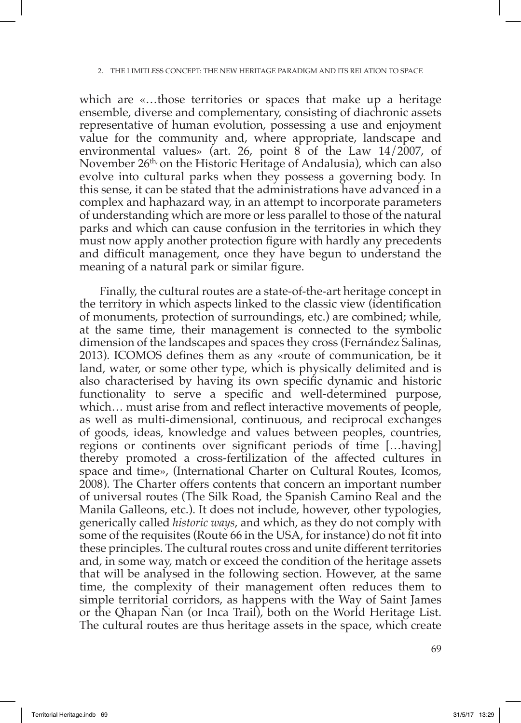which are «…those territories or spaces that make up a heritage ensemble, diverse and complementary, consisting of diachronic assets representative of human evolution, possessing a use and enjoyment value for the community and, where appropriate, landscape and environmental values» (art. 26, point 8 of the Law 14/2007, of November 26<sup>th</sup>, on the Historic Heritage of Andalusia), which can also evolve into cultural parks when they possess a governing body. In this sense, it can be stated that the administrations have advanced in a complex and haphazard way, in an attempt to incorporate parameters of understanding which are more or less parallel to those of the natural parks and which can cause confusion in the territories in which they must now apply another protection figure with hardly any precedents and difficult management, once they have begun to understand the meaning of a natural park or similar figure.

Finally, the cultural routes are a state-of-the-art heritage concept in the territory in which aspects linked to the classic view (identification of monuments, protection of surroundings, etc.) are combined; while, at the same time, their management is connected to the symbolic dimension of the landscapes and spaces they cross (Fernández Salinas, 2013). ICOMOS defines them as any «route of communication, be it land, water, or some other type, which is physically delimited and is also characterised by having its own specific dynamic and historic functionality to serve a specific and well-determined purpose, which… must arise from and reflect interactive movements of people, as well as multi-dimensional, continuous, and reciprocal exchanges of goods, ideas, knowledge and values between peoples, countries, regions or continents over significant periods of time […having] thereby promoted a cross-fertilization of the affected cultures in space and time», (International Charter on Cultural Routes, Icomos, 2008). The Charter offers contents that concern an important number of universal routes (The Silk Road, the Spanish Camino Real and the Manila Galleons, etc.). It does not include, however, other typologies, generically called *historic ways*, and which, as they do not comply with some of the requisites (Route 66 in the USA, for instance) do not fit into these principles. The cultural routes cross and unite different territories and, in some way, match or exceed the condition of the heritage assets that will be analysed in the following section. However, at the same time, the complexity of their management often reduces them to simple territorial corridors, as happens with the Way of Saint James or the Qhapan Ñan (or Inca Trail), both on the World Heritage List. The cultural routes are thus heritage assets in the space, which create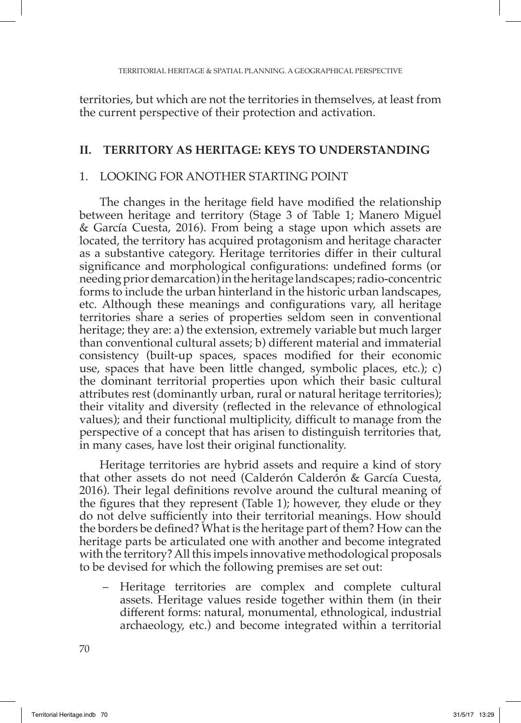territories, but which are not the territories in themselves, at least from the current perspective of their protection and activation.

#### **II. TERRITORY AS HERITAGE: KEYS TO UNDERSTANDING**

#### 1. LOOKING FOR ANOTHER STARTING POINT

The changes in the heritage field have modified the relationship between heritage and territory (Stage 3 of Table 1; Manero Miguel & García Cuesta, 2016). From being a stage upon which assets are located, the territory has acquired protagonism and heritage character as a substantive category. Heritage territories differ in their cultural significance and morphological configurations: undefined forms (or needing prior demarcation) in the heritage landscapes; radio-concentric forms to include the urban hinterland in the historic urban landscapes, etc. Although these meanings and configurations vary, all heritage territories share a series of properties seldom seen in conventional heritage; they are: a) the extension, extremely variable but much larger than conventional cultural assets; b) different material and immaterial consistency (built-up spaces, spaces modified for their economic use, spaces that have been little changed, symbolic places, etc.); c) the dominant territorial properties upon which their basic cultural attributes rest (dominantly urban, rural or natural heritage territories); their vitality and diversity (reflected in the relevance of ethnological values); and their functional multiplicity, difficult to manage from the perspective of a concept that has arisen to distinguish territories that, in many cases, have lost their original functionality.

Heritage territories are hybrid assets and require a kind of story that other assets do not need (Calderón Calderón & García Cuesta, 2016). Their legal definitions revolve around the cultural meaning of the figures that they represent (Table 1); however, they elude or they do not delve sufficiently into their territorial meanings. How should the borders be defined? What is the heritage part of them? How can the heritage parts be articulated one with another and become integrated with the territory? All this impels innovative methodological proposals to be devised for which the following premises are set out:

– Heritage territories are complex and complete cultural assets. Heritage values reside together within them (in their different forms: natural, monumental, ethnological, industrial archaeology, etc.) and become integrated within a territorial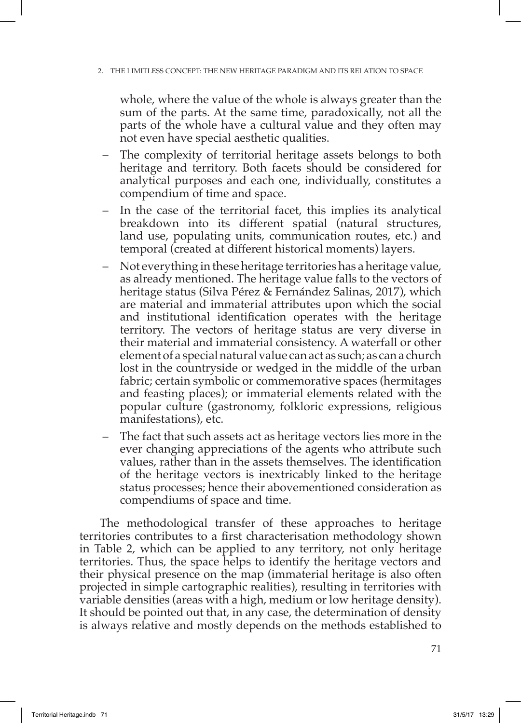whole, where the value of the whole is always greater than the sum of the parts. At the same time, paradoxically, not all the parts of the whole have a cultural value and they often may not even have special aesthetic qualities.

- The complexity of territorial heritage assets belongs to both heritage and territory. Both facets should be considered for analytical purposes and each one, individually, constitutes a compendium of time and space.
- In the case of the territorial facet, this implies its analytical breakdown into its different spatial (natural structures, land use, populating units, communication routes, etc.) and temporal (created at different historical moments) layers.
- Not everything in these heritage territories has a heritage value, as already mentioned. The heritage value falls to the vectors of heritage status (Silva Pérez & Fernández Salinas, 2017), which are material and immaterial attributes upon which the social and institutional identification operates with the heritage territory. The vectors of heritage status are very diverse in their material and immaterial consistency. A waterfall or other element of a special natural value can act as such; as can a church lost in the countryside or wedged in the middle of the urban fabric; certain symbolic or commemorative spaces (hermitages and feasting places); or immaterial elements related with the popular culture (gastronomy, folkloric expressions, religious manifestations), etc.
- The fact that such assets act as heritage vectors lies more in the ever changing appreciations of the agents who attribute such values, rather than in the assets themselves. The identification of the heritage vectors is inextricably linked to the heritage status processes; hence their abovementioned consideration as compendiums of space and time.

The methodological transfer of these approaches to heritage territories contributes to a first characterisation methodology shown in Table 2, which can be applied to any territory, not only heritage territories. Thus, the space helps to identify the heritage vectors and their physical presence on the map (immaterial heritage is also often projected in simple cartographic realities), resulting in territories with variable densities (areas with a high, medium or low heritage density). It should be pointed out that, in any case, the determination of density is always relative and mostly depends on the methods established to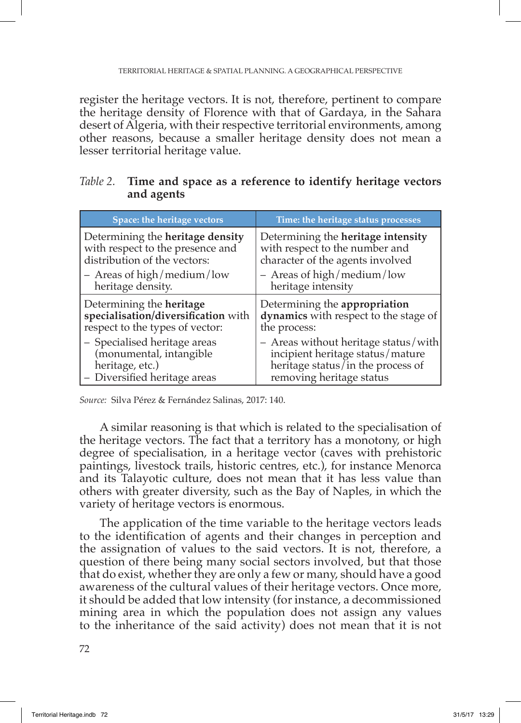register the heritage vectors. It is not, therefore, pertinent to compare the heritage density of Florence with that of Gardaya, in the Sahara desert of Algeria, with their respective territorial environments, among other reasons, because a smaller heritage density does not mean a lesser territorial heritage value.

| Table 2. Time and space as a reference to identify heritage vectors |
|---------------------------------------------------------------------|
| and agents                                                          |

| Space: the heritage vectors             | Time: the heritage status processes   |
|-----------------------------------------|---------------------------------------|
| Determining the <b>heritage</b> density | Determining the heritage intensity    |
| with respect to the presence and        | with respect to the number and        |
| distribution of the vectors:            | character of the agents involved      |
| - Areas of high/medium/low              | $-$ Areas of high/medium/low          |
| heritage density.                       | heritage intensity                    |
| Determining the <b>heritage</b>         | Determining the appropriation         |
| specialisation/diversification with     | dynamics with respect to the stage of |
| respect to the types of vector:         | the process:                          |
| - Specialised heritage areas            | - Areas without heritage status/with  |
| (monumental, intangible                 | incipient heritage status/mature      |
| heritage, etc.)                         | heritage status/in the process of     |
| - Diversified heritage areas            | removing heritage status              |

*Source:* Silva Pérez & Fernández Salinas, 2017: 140.

A similar reasoning is that which is related to the specialisation of the heritage vectors. The fact that a territory has a monotony, or high degree of specialisation, in a heritage vector (caves with prehistoric paintings, livestock trails, historic centres, etc.), for instance Menorca and its Talayotic culture, does not mean that it has less value than others with greater diversity, such as the Bay of Naples, in which the variety of heritage vectors is enormous.

The application of the time variable to the heritage vectors leads to the identification of agents and their changes in perception and the assignation of values to the said vectors. It is not, therefore, a question of there being many social sectors involved, but that those that do exist, whether they are only a few or many, should have a good awareness of the cultural values of their heritage vectors. Once more, it should be added that low intensity (for instance, a decommissioned mining area in which the population does not assign any values to the inheritance of the said activity) does not mean that it is not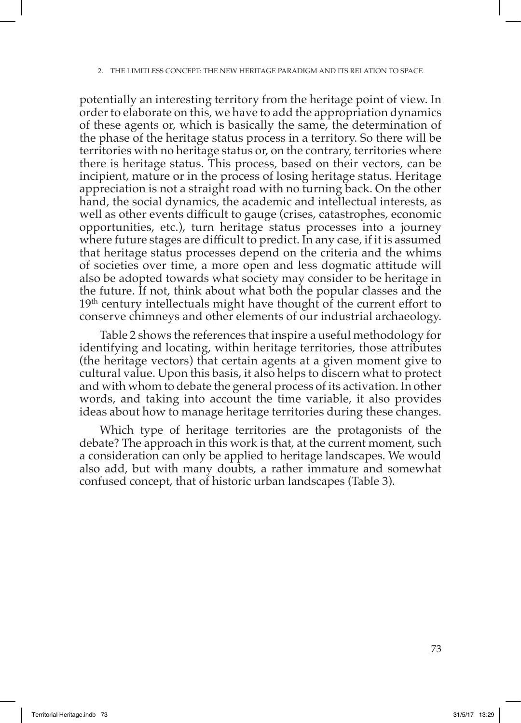potentially an interesting territory from the heritage point of view. In order to elaborate on this, we have to add the appropriation dynamics of these agents or, which is basically the same, the determination of the phase of the heritage status process in a territory. So there will be territories with no heritage status or, on the contrary, territories where there is heritage status. This process, based on their vectors, can be incipient, mature or in the process of losing heritage status. Heritage appreciation is not a straight road with no turning back. On the other hand, the social dynamics, the academic and intellectual interests, as well as other events difficult to gauge (crises, catastrophes, economic opportunities, etc.), turn heritage status processes into a journey where future stages are difficult to predict. In any case, if it is assumed that heritage status processes depend on the criteria and the whims of societies over time, a more open and less dogmatic attitude will also be adopted towards what society may consider to be heritage in the future. If not, think about what both the popular classes and the 19<sup>th</sup> century intellectuals might have thought of the current effort to conserve chimneys and other elements of our industrial archaeology.

Table 2 shows the references that inspire a useful methodology for identifying and locating, within heritage territories, those attributes (the heritage vectors) that certain agents at a given moment give to cultural value. Upon this basis, it also helps to discern what to protect and with whom to debate the general process of its activation. In other words, and taking into account the time variable, it also provides ideas about how to manage heritage territories during these changes.

Which type of heritage territories are the protagonists of the debate? The approach in this work is that, at the current moment, such a consideration can only be applied to heritage landscapes. We would also add, but with many doubts, a rather immature and somewhat confused concept, that of historic urban landscapes (Table 3).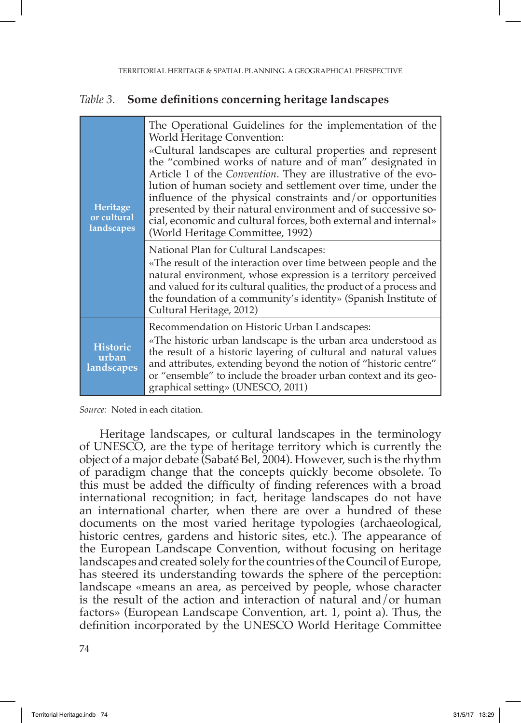#### *Table 3.* **Some definitions concerning heritage landscapes**

| Heritage<br>or cultural<br>landscapes  | The Operational Guidelines for the implementation of the<br>World Heritage Convention:<br>«Cultural landscapes are cultural properties and represent<br>the "combined works of nature and of man" designated in<br>Article 1 of the Convention. They are illustrative of the evo-<br>lution of human society and settlement over time, under the<br>influence of the physical constraints and/or opportunities<br>presented by their natural environment and of successive so-<br>cial, economic and cultural forces, both external and internal»<br>(World Heritage Committee, 1992) |  |
|----------------------------------------|---------------------------------------------------------------------------------------------------------------------------------------------------------------------------------------------------------------------------------------------------------------------------------------------------------------------------------------------------------------------------------------------------------------------------------------------------------------------------------------------------------------------------------------------------------------------------------------|--|
|                                        | National Plan for Cultural Landscapes:<br>«The result of the interaction over time between people and the<br>natural environment, whose expression is a territory perceived<br>and valued for its cultural qualities, the product of a process and<br>the foundation of a community's identity» (Spanish Institute of<br>Cultural Heritage, 2012)                                                                                                                                                                                                                                     |  |
| <b>Historic</b><br>urban<br>landscapes | Recommendation on Historic Urban Landscapes:<br>«The historic urban landscape is the urban area understood as<br>the result of a historic layering of cultural and natural values<br>and attributes, extending beyond the notion of "historic centre"<br>or "ensemble" to include the broader urban context and its geo-<br>graphical setting» (UNESCO, 2011)                                                                                                                                                                                                                         |  |

*Source:* Noted in each citation.

Heritage landscapes, or cultural landscapes in the terminology of UNESCO, are the type of heritage territory which is currently the object of a major debate (Sabaté Bel, 2004). However, such is the rhythm of paradigm change that the concepts quickly become obsolete. To this must be added the difficulty of finding references with a broad international recognition; in fact, heritage landscapes do not have an international charter, when there are over a hundred of these documents on the most varied heritage typologies (archaeological, historic centres, gardens and historic sites, etc.). The appearance of the European Landscape Convention, without focusing on heritage landscapes and created solely for the countries of the Council of Europe, has steered its understanding towards the sphere of the perception: landscape «means an area, as perceived by people, whose character is the result of the action and interaction of natural and/or human factors» (European Landscape Convention, art. 1, point a). Thus, the definition incorporated by the UNESCO World Heritage Committee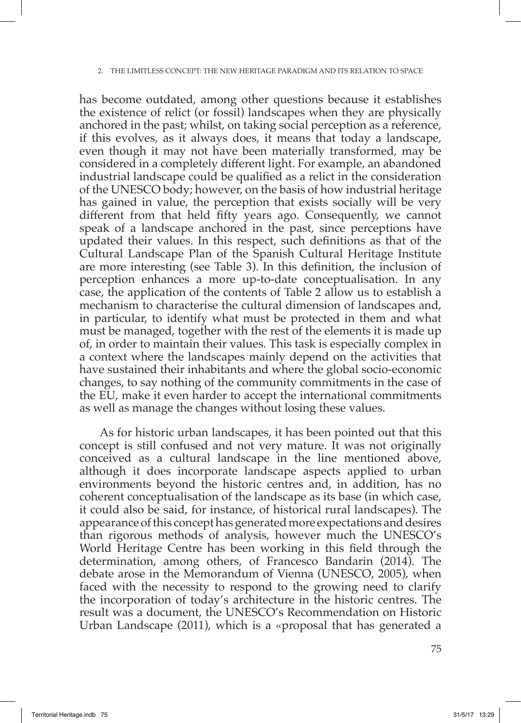has become outdated, among other questions because it establishes the existence of relict (or fossil) landscapes when they are physically anchored in the past; whilst, on taking social perception as a reference, if this evolves, as it always does, it means that today a landscape, even though it may not have been materially transformed, may be considered in a completely different light. For example, an abandoned industrial landscape could be qualified as a relict in the consideration of the UNESCO body; however, on the basis of how industrial heritage has gained in value, the perception that exists socially will be very different from that held fifty years ago. Consequently, we cannot speak of a landscape anchored in the past, since perceptions have updated their values. In this respect, such definitions as that of the Cultural Landscape Plan of the Spanish Cultural Heritage Institute are more interesting (see Table 3). In this definition, the inclusion of perception enhances a more up-to-date conceptualisation. In any case, the application of the contents of Table 2 allow us to establish a mechanism to characterise the cultural dimension of landscapes and, in particular, to identify what must be protected in them and what must be managed, together with the rest of the elements it is made up of, in order to maintain their values. This task is especially complex in a context where the landscapes mainly depend on the activities that have sustained their inhabitants and where the global socio-economic changes, to say nothing of the community commitments in the case of the EU, make it even harder to accept the international commitments as well as manage the changes without losing these values.

As for historic urban landscapes, it has been pointed out that this concept is still confused and not very mature. It was not originally conceived as a cultural landscape in the line mentioned above, although it does incorporate landscape aspects applied to urban environments beyond the historic centres and, in addition, has no coherent conceptualisation of the landscape as its base (in which case, it could also be said, for instance, of historical rural landscapes). The appearance of this concept has generated more expectations and desires than rigorous methods of analysis, however much the UNESCO's World Heritage Centre has been working in this field through the determination, among others, of Francesco Bandarin (2014). The debate arose in the Memorandum of Vienna (UNESCO, 2005), when faced with the necessity to respond to the growing need to clarify the incorporation of today's architecture in the historic centres. The result was a document, the UNESCO's Recommendation on Historic Urban Landscape (2011), which is a «proposal that has generated a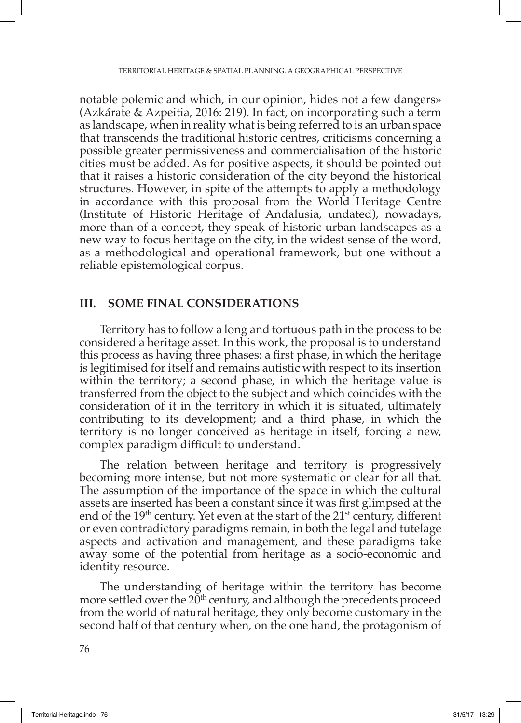notable polemic and which, in our opinion, hides not a few dangers» (Azkárate & Azpeitia, 2016: 219). In fact, on incorporating such a term as landscape, when in reality what is being referred to is an urban space that transcends the traditional historic centres, criticisms concerning a possible greater permissiveness and commercialisation of the historic cities must be added. As for positive aspects, it should be pointed out that it raises a historic consideration of the city beyond the historical structures. However, in spite of the attempts to apply a methodology in accordance with this proposal from the World Heritage Centre (Institute of Historic Heritage of Andalusia, undated), nowadays, more than of a concept, they speak of historic urban landscapes as a new way to focus heritage on the city, in the widest sense of the word, as a methodological and operational framework, but one without a reliable epistemological corpus.

#### **III. SOME FINAL CONSIDERATIONS**

Territory has to follow a long and tortuous path in the process to be considered a heritage asset. In this work, the proposal is to understand this process as having three phases: a first phase, in which the heritage is legitimised for itself and remains autistic with respect to its insertion within the territory; a second phase, in which the heritage value is transferred from the object to the subject and which coincides with the consideration of it in the territory in which it is situated, ultimately contributing to its development; and a third phase, in which the territory is no longer conceived as heritage in itself, forcing a new, complex paradigm difficult to understand.

The relation between heritage and territory is progressively becoming more intense, but not more systematic or clear for all that. The assumption of the importance of the space in which the cultural assets are inserted has been a constant since it was first glimpsed at the end of the 19<sup>th</sup> century. Yet even at the start of the 21<sup>st</sup> century, different or even contradictory paradigms remain, in both the legal and tutelage aspects and activation and management, and these paradigms take away some of the potential from heritage as a socio-economic and identity resource.

The understanding of heritage within the territory has become more settled over the  $20<sup>th</sup>$  century, and although the precedents proceed from the world of natural heritage, they only become customary in the second half of that century when, on the one hand, the protagonism of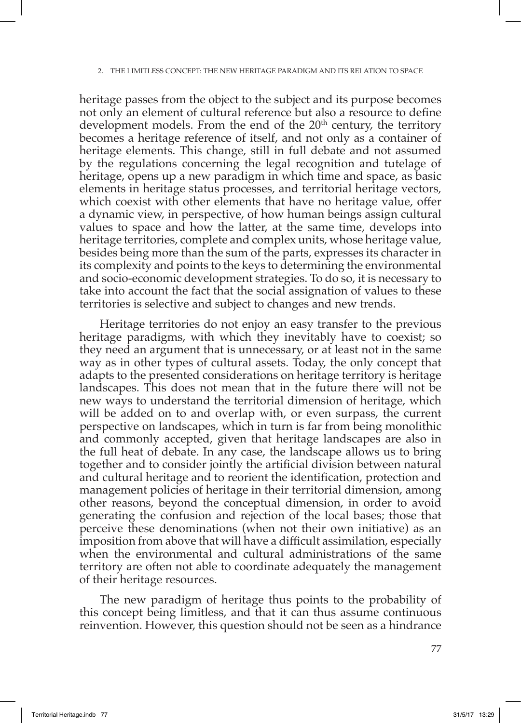heritage passes from the object to the subject and its purpose becomes not only an element of cultural reference but also a resource to define development models. From the end of the  $20<sup>th</sup>$  century, the territory becomes a heritage reference of itself, and not only as a container of heritage elements. This change, still in full debate and not assumed by the regulations concerning the legal recognition and tutelage of heritage, opens up a new paradigm in which time and space, as basic elements in heritage status processes, and territorial heritage vectors, which coexist with other elements that have no heritage value, offer a dynamic view, in perspective, of how human beings assign cultural values to space and how the latter, at the same time, develops into heritage territories, complete and complex units, whose heritage value, besides being more than the sum of the parts, expresses its character in its complexity and points to the keys to determining the environmental and socio-economic development strategies. To do so, it is necessary to take into account the fact that the social assignation of values to these territories is selective and subject to changes and new trends.

Heritage territories do not enjoy an easy transfer to the previous heritage paradigms, with which they inevitably have to coexist; so they need an argument that is unnecessary, or at least not in the same way as in other types of cultural assets. Today, the only concept that adapts to the presented considerations on heritage territory is heritage landscapes. This does not mean that in the future there will not be new ways to understand the territorial dimension of heritage, which will be added on to and overlap with, or even surpass, the current perspective on landscapes, which in turn is far from being monolithic and commonly accepted, given that heritage landscapes are also in the full heat of debate. In any case, the landscape allows us to bring together and to consider jointly the artificial division between natural and cultural heritage and to reorient the identification, protection and management policies of heritage in their territorial dimension, among other reasons, beyond the conceptual dimension, in order to avoid generating the confusion and rejection of the local bases; those that perceive these denominations (when not their own initiative) as an imposition from above that will have a difficult assimilation, especially when the environmental and cultural administrations of the same territory are often not able to coordinate adequately the management of their heritage resources.

The new paradigm of heritage thus points to the probability of this concept being limitless, and that it can thus assume continuous reinvention. However, this question should not be seen as a hindrance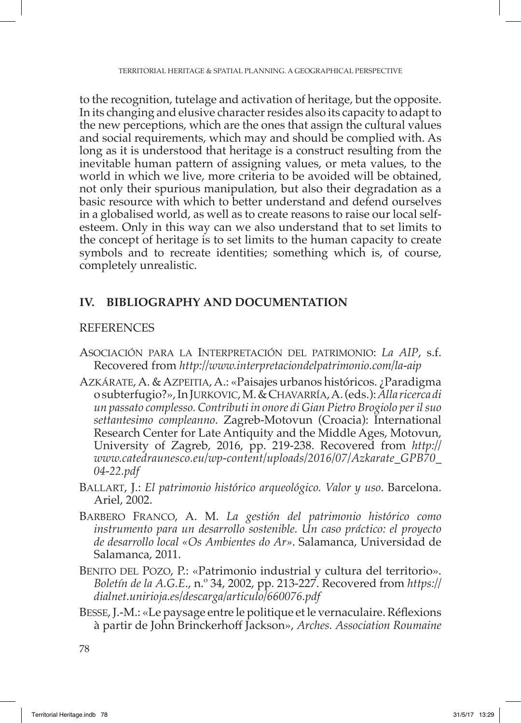to the recognition, tutelage and activation of heritage, but the opposite. In its changing and elusive character resides also its capacity to adapt to the new perceptions, which are the ones that assign the cultural values and social requirements, which may and should be complied with. As long as it is understood that heritage is a construct resulting from the inevitable human pattern of assigning values, or meta values, to the world in which we live, more criteria to be avoided will be obtained, not only their spurious manipulation, but also their degradation as a basic resource with which to better understand and defend ourselves in a globalised world, as well as to create reasons to raise our local selfesteem. Only in this way can we also understand that to set limits to the concept of heritage is to set limits to the human capacity to create symbols and to recreate identities; something which is, of course, completely unrealistic.

## **IV. BIBLIOGRAPHY AND DOCUMENTATION**

## REFERENCES

- Asociación para la Interpretación del patrimonio: *La AIP*, s.f. Recovered from *<http://www.interpretaciondelpatrimonio.com/la-aip>*
- Azkárate, A. & Azpeitia, A.: «Paisajes urbanos históricos. ¿Paradigma o subterfugio?», In Jurkovic, M. & Chavarría, A. (eds.): *Alla ricerca di un passato complesso. Contributi in onore di Gian Pietro Brogiolo per il suo settantesimo compleanno*. Zagreb-Motovun (Croacia): International Research Center for Late Antiquity and the Middle Ages, Motovun, University of Zagreb, 2016, pp. 219-238. Recovered from *[http://](http://www.catedraunesco.eu/wp-content/uploads/2016/07/Azkarate_GPB70_04-22.pdf) [www.catedraunesco.eu/wp-content/uploads/2016/07/Azkarate\\_GPB70\\_](http://www.catedraunesco.eu/wp-content/uploads/2016/07/Azkarate_GPB70_04-22.pdf) [04-22.pdf](http://www.catedraunesco.eu/wp-content/uploads/2016/07/Azkarate_GPB70_04-22.pdf)*
- Ballart, J.: *El patrimonio histórico arqueológico. Valor y uso*. Barcelona. Ariel, 2002.
- Barbero Franco, A. M. *La gestión del patrimonio histórico como instrumento para un desarrollo sostenible. Un caso práctico: el proyecto de desarrollo local «Os Ambientes do Ar»*. Salamanca, Universidad de Salamanca, 2011.
- BENITO DEL POZO, P.: «Patrimonio industrial y cultura del territorio». *Boletín de la A.G.E*., n.º 34, 2002, pp. 213-227. Recovered from *[https://](https://dialnet.unirioja.es/descarga/articulo/660076.pdf) [dialnet.unirioja.es/descarga/articulo/660076.pdf](https://dialnet.unirioja.es/descarga/articulo/660076.pdf)*
- Besse, J.-M.: «Le paysage entre le politique et le vernaculaire. Réflexions à partir de John Brinckerhoff Jackson», *Arches. Association Roumaine*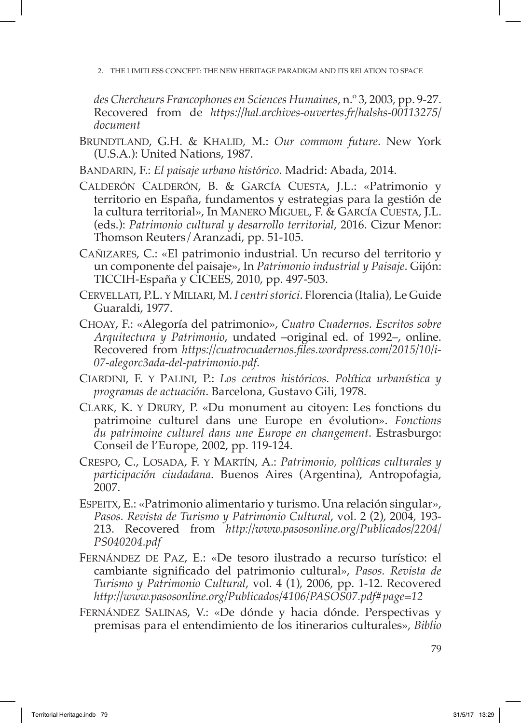2. The limitless concept: the new heritage paradigm and its relation to space

*des Chercheurs Francophones en Sciences Humaines*, n.º 3, 2003, pp. 9-27. Recovered from de *[https://hal.archives-ouvertes.fr/halshs-00113275/](https://hal.archives-ouvertes.fr/halshs-00113275/document) [document](https://hal.archives-ouvertes.fr/halshs-00113275/document)*

- BRUNDTLAND, G.H. & KHALID, M.: *Our commom future*. New York (U.S.A.): United Nations, 1987.
- Bandarin, F.: *El paisaje urbano histórico*. Madrid: Abada, 2014.
- Calderón Calderón, B. & García Cuesta, J.L.: «Patrimonio y territorio en España, fundamentos y estrategias para la gestión de la cultura territorial», In Manero Miguel, F. & García Cuesta, J.L. (eds.): *Patrimonio cultural y desarrollo territorial*, 2016. Cizur Menor: Thomson Reuters/Aranzadi, pp. 51-105.
- Cañizares, C.: «El patrimonio industrial. Un recurso del territorio y un componente del paisaje», In *Patrimonio industrial y Paisaje*. Gijón: TICCIH-España y CICEES, 2010, pp. 497-503.
- Cervellati, P.L. y Miliari, M. *I centri storici*. Florencia (Italia), Le Guide Guaraldi, 1977.
- Choay, F.: «Alegoría del patrimonio», *Cuatro Cuadernos. Escritos sobre Arquitectura y Patrimonio*, undated –original ed. of 1992–, online. Recovered from *[https://cuatrocuadernos.files.wordpress.com/2015/10/i-](https://cuatrocuadernos.files.wordpress.com/2015/10/i-07-alegorc3ada-del-patrimonio.pdf)[07-alegorc3ada-del-patrimonio.pdf](https://cuatrocuadernos.files.wordpress.com/2015/10/i-07-alegorc3ada-del-patrimonio.pdf)*.
- Ciardini, F. y Palini, P.: *Los centros históricos. Política urbanística y programas de actuación*. Barcelona, Gustavo Gili, 1978.
- Clark, K. y Drury, P. «Du monument au citoyen: Les fonctions du patrimoine culturel dans une Europe en évolution». *Fonctions du patrimoine culturel dans une Europe en changement*. Estrasburgo: Conseil de l'Europe, 2002, pp. 119-124.
- Crespo, C., Losada, F. y Martín, A.: *Patrimonio, políticas culturales y participación ciudadana*. Buenos Aires (Argentina), Antropofagia, 2007.
- Espeitx, E.: «Patrimonio alimentario y turismo. Una relación singular», *Pasos. Revista de Turismo y Patrimonio Cultural*, vol. 2 (2), 2004, 193- 213. Recovered from *[http://www.pasosonline.org/Publicados/2204/](http://www.pasosonline.org/Publicados/2204/PS040204.pdf) [PS040204.pdf](http://www.pasosonline.org/Publicados/2204/PS040204.pdf)*
- Fernández de Paz, E.: «De tesoro ilustrado a recurso turístico: el cambiante significado del patrimonio cultural», *Pasos. Revista de Turismo y Patrimonio Cultural*, vol. 4 (1), 2006, pp. 1-12. Recovered *http://www.pasosonline.org/Publicados/4106/PASOS07.pdf#page=12*
- Fernández Salinas, V.: «De dónde y hacia dónde. Perspectivas y premisas para el entendimiento de los itinerarios culturales», *Biblio*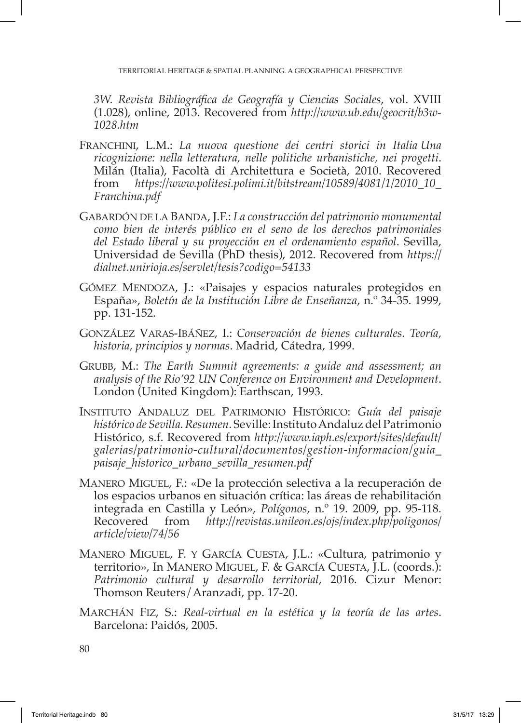*3W. Revista Bibliográfica de Geografía y Ciencias Sociales*, vol. XVIII (1.028), online, 2013. Recovered from *[http://www.ub.edu/geocrit/b3w-](http://www.ub.edu/geocrit/b3w-1028.htm)[1028.htm](http://www.ub.edu/geocrit/b3w-1028.htm)*

- Franchini, L.M.: *La nuova questione dei centri storici in Italia Una ricognizione: nella letteratura, nelle politiche urbanistiche, nei progetti*. Milán (Italia), Facoltà di Architettura e Società, 2010. Recovered from *[https://www.politesi.polimi.it/bitstream/10589/4081/1/2010\\_10\\_](https://www.politesi.polimi.it/bitstream/10589/4081/1/2010_10_Franchina.pdf) [Franchina.pdf](https://www.politesi.polimi.it/bitstream/10589/4081/1/2010_10_Franchina.pdf)*
- Gabardón de la Banda, J.F.: *La construcción del patrimonio monumental como bien de interés público en el seno de los derechos patrimoniales del Estado liberal y su proyección en el ordenamiento español*. Sevilla, Universidad de Sevilla (PhD thesis), 2012. Recovered from *[https://](https://dialnet.unirioja.es/servlet/tesis?codigo=54133) [dialnet.unirioja.es/servlet/tesis?codigo=54133](https://dialnet.unirioja.es/servlet/tesis?codigo=54133)*
- GÓMEZ MENDOZA, J.: «Paisajes y espacios naturales protegidos en España», *Boletín de la Institución Libre de Enseñanza*, n.º 34-35. 1999, pp. 131-152.
- González Varas-Ibáñez, I.: *Conservación de bienes culturales. Teoría, historia, principios y normas*. Madrid, Cátedra, 1999.
- Grubb, M.: *The Earth Summit agreements: a guide and assessment; an analysis of the Rio'92 UN Conference on Environment and Development*. London (United Kingdom): Earthscan, 1993.
- Instituto Andaluz del Patrimonio Histórico: *Guía del paisaje histórico de Sevilla. Resumen*. Seville: Instituto Andaluz del Patrimonio Histórico, s.f. Recovered from *[http://www.iaph.es/export/sites/default/](http://www.iaph.es/export/sites/default/galerias/patrimonio-cultural/documentos/gestion-informacion/guia_paisaje_historico_urbano_sevilla_resumen.pdf) [galerias/patrimonio-cultural/documentos/gestion-informacion/guia\\_](http://www.iaph.es/export/sites/default/galerias/patrimonio-cultural/documentos/gestion-informacion/guia_paisaje_historico_urbano_sevilla_resumen.pdf) [paisaje\\_historico\\_urbano\\_sevilla\\_resumen.pdf](http://www.iaph.es/export/sites/default/galerias/patrimonio-cultural/documentos/gestion-informacion/guia_paisaje_historico_urbano_sevilla_resumen.pdf)*
- Manero Miguel, F.: «De la protección selectiva a la recuperación de los espacios urbanos en situación crítica: las áreas de rehabilitación integrada en Castilla y León», *Polígonos*, n.º 19. 2009, pp. 95-118. Recovered from *[http://revistas.unileon.es/ojs/index.php/poligonos/](http://revistas.unileon.es/ojs/index.php/poligonos/article/view/74/56) [article/view/74/56](http://revistas.unileon.es/ojs/index.php/poligonos/article/view/74/56)*
- Manero Miguel, F. y García Cuesta, J.L.: «Cultura, patrimonio y territorio», In Manero Miguel, F. & García Cuesta, J.L. (coords.): *Patrimonio cultural y desarrollo territorial*, 2016. Cizur Menor: Thomson Reuters/Aranzadi, pp. 17-20.
- Marchán Fiz, S.: *Real-virtual en la estética y la teoría de las artes*. Barcelona: Paidós, 2005.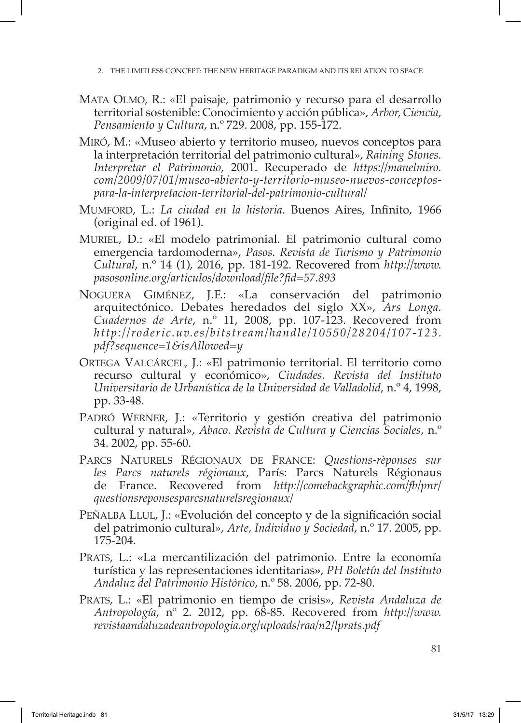2. The limitless concept: the new heritage paradigm and its relation to space

- Mata Olmo, R.: «El paisaje, patrimonio y recurso para el desarrollo territorial sostenible: Conocimiento y acción pública», *Arbor, Ciencia, Pensamiento y Cultura*, n.º 729. 2008, pp. 155-172.
- Miró, M.: «Museo abierto y territorio museo, nuevos conceptos para la interpretación territorial del patrimonio cultural», *Raining Stones. Interpretar el Patrimonio*, 2001. Recuperado de *[https://manelmiro.](https://manelmiro.com/2009/07/01/museo-abierto-y-territorio-museo-nuevos-conceptos-para-la-interpretacion-territorial-del-patrimonio-cultural/) [com/2009/07/01/museo-abierto-y-territorio-museo-nuevos-conceptos](https://manelmiro.com/2009/07/01/museo-abierto-y-territorio-museo-nuevos-conceptos-para-la-interpretacion-territorial-del-patrimonio-cultural/)[para-la-interpretacion-territorial-del-patrimonio-cultural/](https://manelmiro.com/2009/07/01/museo-abierto-y-territorio-museo-nuevos-conceptos-para-la-interpretacion-territorial-del-patrimonio-cultural/)*
- Mumford, L.: *La ciudad en la historia*. Buenos Aires, Infinito, 1966 (original ed. of 1961).
- Muriel, D.: «El modelo patrimonial. El patrimonio cultural como emergencia tardomoderna», *Pasos. Revista de Turismo y Patrimonio Cultural*, n.º 14 (1), 2016, pp. 181-192. Recovered from *[http://www.](http://www.pasosonline.org/articulos/download/file?fid=57.893) [pasosonline.org/articulos/download/file?fid=57.893](http://www.pasosonline.org/articulos/download/file?fid=57.893)*
- Noguera Giménez, J.F.: «La conservación del patrimonio arquitectónico. Debates heredados del siglo XX», *Ars Longa. Cuadernos de Arte*, n.º 11, 2008, pp. 107-123. Recovered from *[http://roderic.uv.es/bitstream/handle/10550/28204/107-123.](http://roderic.uv.es/bitstream/handle/10550/28204/107-123.pdf?sequence=1&isAllowed=y) [pdf?sequence=1&isAllowed=y](http://roderic.uv.es/bitstream/handle/10550/28204/107-123.pdf?sequence=1&isAllowed=y)*
- Ortega Valcárcel, J.: «El patrimonio territorial. El territorio como recurso cultural y económico», *Ciudades. Revista del Instituto Universitario de Urbanística de la Universidad de Valladolid*, n.º 4, 1998, pp. 33-48.
- PADRÓ WERNER, J.: «Territorio y gestión creativa del patrimonio cultural y natural», *Abaco. Revista de Cultura y Ciencias Sociales*, n.º 34. 2002, pp. 55-60.
- Parcs Naturels Régionaux de France: *Questions-rèponses sur les Parcs naturels régionaux*, París: Parcs Naturels Régionaus de France. Recovered from *[http://comebackgraphic.com/fb/pnr/](http://comebackgraphic.com/fb/pnr/questionsreponsesparcsnaturelsregionaux/) [questionsreponsesparcsnaturelsregionaux/](http://comebackgraphic.com/fb/pnr/questionsreponsesparcsnaturelsregionaux/)*
- Peñalba Llul, J.: «Evolución del concepto y de la significación social del patrimonio cultural», *Arte, Individuo y Sociedad*, n.º 17. 2005, pp. 175-204.
- Prats, L.: «La mercantilización del patrimonio. Entre la economía turística y las representaciones identitarias**»**, *PH Boletín del Instituto Andaluz del Patrimonio Histórico*, n.º 58. 2006, pp. 72-80.
- Prats, L.: «El patrimonio en tiempo de crisis», *Revista Andaluza de Antropología*, nº 2. 2012, pp. 68-85. Recovered from *[http://www.](http://www.revistaandaluzadeantropologia.org/uploads/raa/n2/lprats.pdf) [revistaandaluzadeantropologia.org/uploads/raa/n2/lprats.pdf](http://www.revistaandaluzadeantropologia.org/uploads/raa/n2/lprats.pdf)*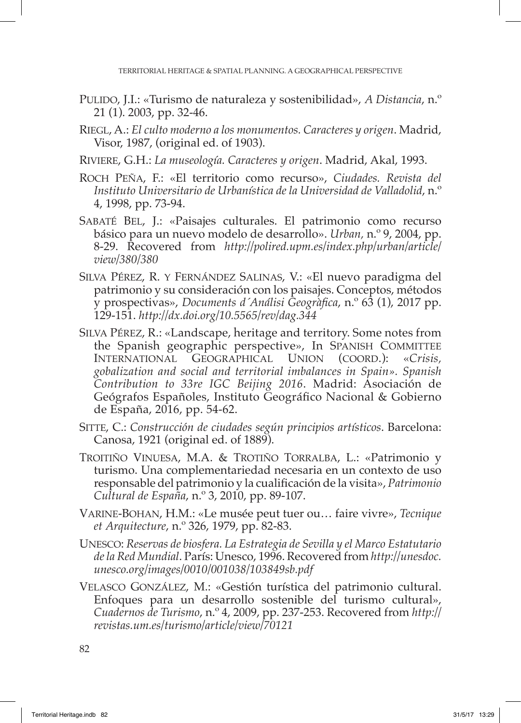- Pulido, J.I.: «Turismo de naturaleza y sostenibilidad», *A Distancia*, n.º 21 (1). 2003, pp. 32-46.
- Riegl, A.: *El culto moderno a los monumentos. Caracteres y origen*. Madrid, Visor, 1987, (original ed. of 1903).
- Riviere, G.H.: *La museología. Caracteres y origen*. Madrid, Akal, 1993.
- Roch Peña, F.: «El territorio como recurso», *Ciudades. Revista del Instituto Universitario de Urbanística de la Universidad de Valladolid*, n.º 4, 1998, pp. 73-94.
- Sabaté Bel, J.: «Paisajes culturales. El patrimonio como recurso básico para un nuevo modelo de desarrollo». *Urban,* n.º 9, 2004, pp. 8-29. Recovered from *[http://polired.upm.es/index.php/urban/article/](http://polired.upm.es/index.php/urban/article/view/380/380) [view/380/380](http://polired.upm.es/index.php/urban/article/view/380/380)*
- Silva Pérez, R. y Fernández Salinas, V.: «El nuevo paradigma del patrimonio y su consideración con los paisajes. Conceptos, métodos y prospectivas», *Documents d´Análisi Geogràfica*, n.º 63 (1), 2017 pp. 129-151. *<http://dx.doi.org/10.5565/rev/dag.344>*
- Silva Pérez, R.: «Landscape, heritage and territory. Some notes from the Spanish geographic perspective», In SPANISH COMMITTEE International Geographical Union (coord.): «*Crisis, gobalization and social and territorial imbalances in Spain». Spanish Contribution to 33re IGC Beijing 2016*. Madrid: Asociación de Geógrafos Españoles, Instituto Geográfico Nacional & Gobierno de España, 2016, pp. 54-62.
- Sitte, C.: *Construcción de ciudades según principios artísticos*. Barcelona: Canosa, 1921 (original ed. of 1889).
- Troitiño Vinuesa, M.A. & Trotiño Torralba, L.: «Patrimonio y turismo. Una complementariedad necesaria en un contexto de uso responsable del patrimonio y la cualificación de la visita», *Patrimonio Cultural de España*, n.º 3, 2010, pp. 89-107.
- Varine-Bohan, H.M.: «Le musée peut tuer ou… faire vivre», *Tecnique et Arquitecture*, n.º 326, 1979, pp. 82-83.
- Unesco: *Reservas de biosfera. La Estrategia de Sevilla y el Marco Estatutario de la Red Mundial*. París: Unesco, 1996. Recovered from *[http://unesdoc.](http://unesdoc.unesco.org/images/0010/001038/103849sb.pdf) [unesco.org/images/0010/001038/103849sb.pdf](http://unesdoc.unesco.org/images/0010/001038/103849sb.pdf)*
- Velasco González, M.: «Gestión turística del patrimonio cultural. Enfoques para un desarrollo sostenible del turismo cultural», *Cuadernos de Turismo*, n.º 4, 2009, pp. 237-253. Recovered from *[http://](http://revistas.um.es/turismo/article/view/70121) [revistas.um.es/turismo/article/view/70121](http://revistas.um.es/turismo/article/view/70121)*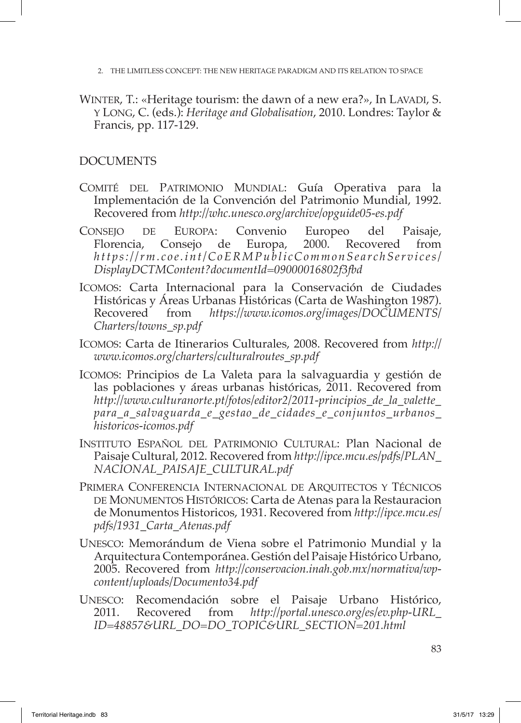- 2. The limitless concept: the new heritage paradigm and its relation to space
- WINTER, T.: «Heritage tourism: the dawn of a new era?», In LAVADI, S. y Long, C. (eds.): *Heritage and Globalisation*, 2010. Londres: Taylor & Francis, pp. 117-129.

## **DOCUMENTS**

- COMITÉ DEL PATRIMONIO MUNDIAL: Guía Operativa para la Implementación de la Convención del Patrimonio Mundial, 1992. Recovered from *http://whc.unesco.org/archive/opguide05-es.pdf*
- Consejo de Europa: Convenio Europeo del Paisaje, Florencia, Consejo de Europa, 2000. Recovered from *https://rm.coe.int/CoERMPublicCommonSearchServices/ DisplayDCTMContent?documentId=09000016802f3fbd*
- Icomos: Carta Internacional para la Conservación de Ciudades Históricas y Áreas Urbanas Históricas (Carta de Washington 1987).<br>Recovered from *https://www.icomos.org/images/DOCUMENTS/* Recovered from *[https://www.icomos.org/images/DOCUMENTS/](https://www.icomos.org/images/DOCUMENTS/Charters/towns_sp.pdf) [Charters/towns\\_sp.pdf](https://www.icomos.org/images/DOCUMENTS/Charters/towns_sp.pdf)*
- Icomos: Carta de Itinerarios Culturales, 2008. Recovered from *[http://](http://www.icomos.org/charters/culturalroutes_sp.pdf) [www.icomos.org/charters/culturalroutes\\_sp.pdf](http://www.icomos.org/charters/culturalroutes_sp.pdf)*
- Icomos: Principios de La Valeta para la salvaguardia y gestión de las poblaciones y áreas urbanas históricas, 2011. Recovered from *[http://www.culturanorte.pt/fotos/editor2/2011-principios\\_de\\_la\\_valette\\_](http://www.culturanorte.pt/fotos/editor2/2011-principios_de_la_valette_para_a_salvaguarda_e_gestao_de_cidades_e_conjuntos_urbanos_historicos-icomos.pdf) [para\\_a\\_salvaguarda\\_e\\_gestao\\_de\\_cidades\\_e\\_conjuntos\\_urbanos\\_](http://www.culturanorte.pt/fotos/editor2/2011-principios_de_la_valette_para_a_salvaguarda_e_gestao_de_cidades_e_conjuntos_urbanos_historicos-icomos.pdf) [historicos-icomos.pdf](http://www.culturanorte.pt/fotos/editor2/2011-principios_de_la_valette_para_a_salvaguarda_e_gestao_de_cidades_e_conjuntos_urbanos_historicos-icomos.pdf)*
- Instituto Español del Patrimonio Cultural: Plan Nacional de Paisaje Cultural, 2012. Recovered from *[http://ipce.mcu.es/pdfs/PLAN\\_](http://ipce.mcu.es/pdfs/PLAN_NACIONAL_PAISAJE_CULTURAL.pdf) [NACIONAL\\_PAISAJE\\_CULTURAL.pdf](http://ipce.mcu.es/pdfs/PLAN_NACIONAL_PAISAJE_CULTURAL.pdf)*
- Primera Conferencia Internacional de Arquitectos y Técnicos DE MONUMENTOS HISTÓRICOS: Carta de Atenas para la Restauracion de Monumentos Historicos, 1931. Recovered from *http://ipce.mcu.es/ pdfs/1931\_Carta\_Atenas.pdf*
- Unesco: Memorándum de Viena sobre el Patrimonio Mundial y la Arquitectura Contemporánea. Gestión del Paisaje Histórico Urbano, 2005. Recovered from *[http://conservacion.inah.gob.mx/normativa/wp](http://conservacion.inah.gob.mx/normativa/wp-content/uploads/Documento34.pdf)[content/uploads/Documento34.pdf](http://conservacion.inah.gob.mx/normativa/wp-content/uploads/Documento34.pdf)*
- Unesco: Recomendación sobre el Paisaje Urbano Histórico, 2011. Recovered from *[http://portal.unesco.org/es/ev.php-URL\\_](http://portal.unesco.org/es/ev.php-URL_ID=48857&URL_DO=DO_TOPIC&URL_SECTION=201.html) [ID=48857&URL\\_DO=DO\\_TOPIC&URL\\_SECTION=201.html](http://portal.unesco.org/es/ev.php-URL_ID=48857&URL_DO=DO_TOPIC&URL_SECTION=201.html)*